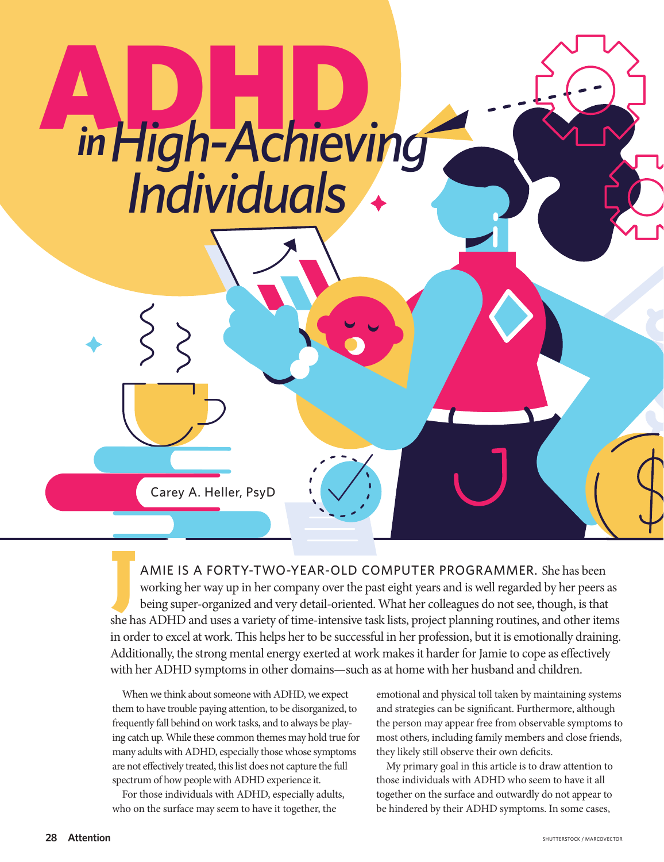# ADHD *High-Achieving Individuals in*

Carey A. Heller, PsyD

AMIE IS A FORTY-TWO-YEAR-OLD COMPUTER PROGRAMMER. She has been working her way up in her company over the past eight years and is well regarded by her peers are being super-organized and very detail-oriented. What her coll working her way up in her company over the past eight years and is well regarded by her peers as being super-organized and very detail-oriented. What her colleagues do not see, though, is that she has ADHD and uses a variety of time-intensive task lists, project planning routines, and other items in order to excel at work. This helps her to be successful in her profession, but it is emotionally draining. Additionally, the strong mental energy exerted at work makes it harder for Jamie to cope as effectively with her ADHD symptoms in other domains—such as at home with her husband and children.

When we think about someone with ADHD, we expect them to have trouble paying attention, to be disorganized, to frequently fall behind on work tasks, and to always be playing catch up. While these common themes may hold true for many adults with ADHD, especially those whose symptoms are not effectively treated, this list does not capture the full spectrum of how people with ADHD experience it.

For those individuals with ADHD, especially adults, who on the surface may seem to have it together, the

emotional and physical toll taken by maintaining systems and strategies can be significant. Furthermore, although the person may appear free from observable symptoms to most others, including family members and close friends, they likely still observe their own deficits.

My primary goal in this article is to draw attention to those individuals with ADHD who seem to have it all together on the surface and outwardly do not appear to be hindered by their ADHD symptoms. In some cases,